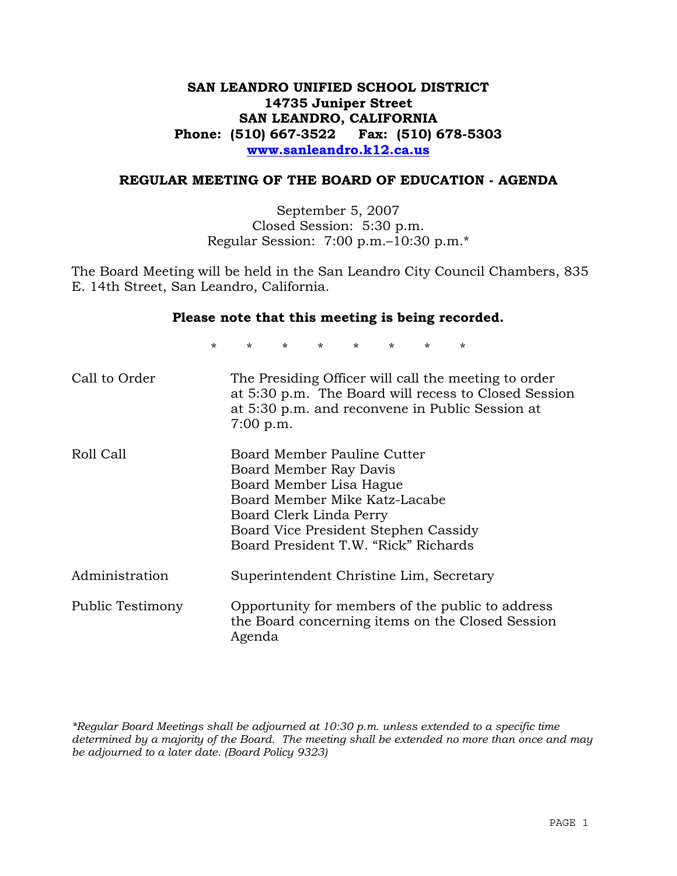# **SAN LEANDRO UNIFIED SCHOOL DISTRICT 14735 Juniper Street SAN LEANDRO, CALIFORNIA Phone: (510) 667-3522 Fax: (510) 678-5303 www.sanleandro.k12.ca.us**

## **REGULAR MEETING OF THE BOARD OF EDUCATION - AGENDA**

September 5, 2007 Closed Session: 5:30 p.m. Regular Session: 7:00 p.m.–10:30 p.m.\*

The Board Meeting will be held in the San Leandro City Council Chambers, 835 E. 14th Street, San Leandro, California.

## **Please note that this meeting is being recorded.**

\* \* \* \* \* \* \* \*

| Call to Order    | The Presiding Officer will call the meeting to order<br>at 5:30 p.m. The Board will recess to Closed Session<br>at 5:30 p.m. and reconvene in Public Session at<br>$7:00$ p.m.                                               |
|------------------|------------------------------------------------------------------------------------------------------------------------------------------------------------------------------------------------------------------------------|
| Roll Call        | Board Member Pauline Cutter<br>Board Member Ray Davis<br>Board Member Lisa Hague<br>Board Member Mike Katz-Lacabe<br>Board Clerk Linda Perry<br>Board Vice President Stephen Cassidy<br>Board President T.W. "Rick" Richards |
| Administration   | Superintendent Christine Lim, Secretary                                                                                                                                                                                      |
| Public Testimony | Opportunity for members of the public to address<br>the Board concerning items on the Closed Session<br>Agenda                                                                                                               |

*\*Regular Board Meetings shall be adjourned at 10:30 p.m. unless extended to a specific time determined by a majority of the Board. The meeting shall be extended no more than once and may be adjourned to a later date. (Board Policy 9323)*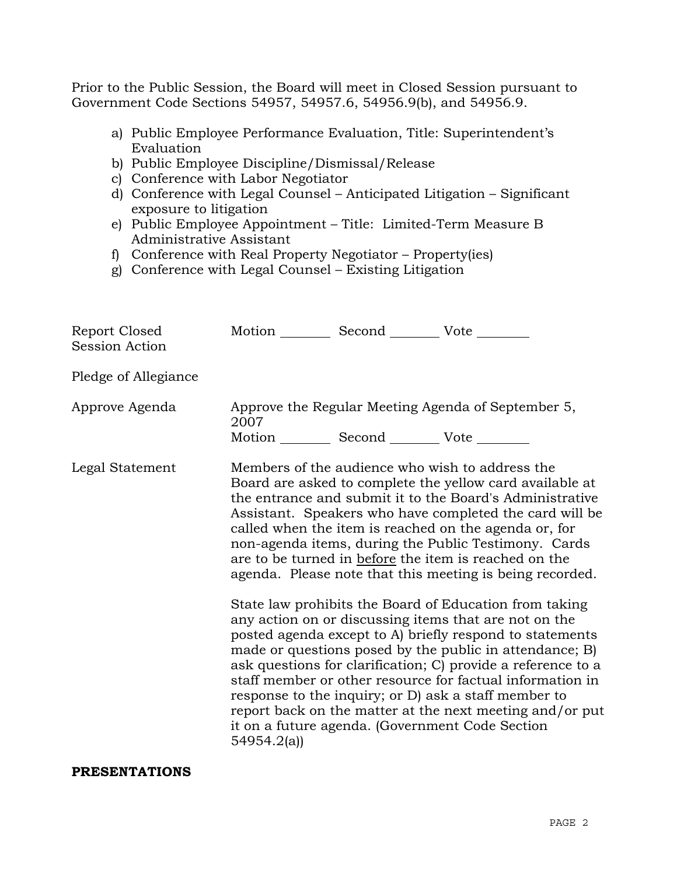Prior to the Public Session, the Board will meet in Closed Session pursuant to Government Code Sections 54957, 54957.6, 54956.9(b), and 54956.9.

- a) Public Employee Performance Evaluation, Title: Superintendent's Evaluation
- b) Public Employee Discipline/Dismissal/Release
- c) Conference with Labor Negotiator
- d) Conference with Legal Counsel Anticipated Litigation Significant exposure to litigation
- e) Public Employee Appointment Title: Limited-Term Measure B Administrative Assistant
- f) Conference with Real Property Negotiator Property(ies)
- g) Conference with Legal Counsel Existing Litigation

| Report Closed<br>Session Action | Motion __________ Second __________ Vote ________             |                                                                                                                                                                                                                                                                                                                                                                                                                                                                                                                                                                                                                                                                                                                                                                                                                                                                                                                                                                                                                        |
|---------------------------------|---------------------------------------------------------------|------------------------------------------------------------------------------------------------------------------------------------------------------------------------------------------------------------------------------------------------------------------------------------------------------------------------------------------------------------------------------------------------------------------------------------------------------------------------------------------------------------------------------------------------------------------------------------------------------------------------------------------------------------------------------------------------------------------------------------------------------------------------------------------------------------------------------------------------------------------------------------------------------------------------------------------------------------------------------------------------------------------------|
| Pledge of Allegiance            |                                                               |                                                                                                                                                                                                                                                                                                                                                                                                                                                                                                                                                                                                                                                                                                                                                                                                                                                                                                                                                                                                                        |
| Approve Agenda                  | 2007<br>Motion ___________ Second ____________ Vote _________ | Approve the Regular Meeting Agenda of September 5,                                                                                                                                                                                                                                                                                                                                                                                                                                                                                                                                                                                                                                                                                                                                                                                                                                                                                                                                                                     |
| Legal Statement                 | 54954.2(a)                                                    | Members of the audience who wish to address the<br>Board are asked to complete the yellow card available at<br>the entrance and submit it to the Board's Administrative<br>Assistant. Speakers who have completed the card will be<br>called when the item is reached on the agenda or, for<br>non-agenda items, during the Public Testimony. Cards<br>are to be turned in before the item is reached on the<br>agenda. Please note that this meeting is being recorded.<br>State law prohibits the Board of Education from taking<br>any action on or discussing items that are not on the<br>posted agenda except to A) briefly respond to statements<br>made or questions posed by the public in attendance; B)<br>ask questions for clarification; C) provide a reference to a<br>staff member or other resource for factual information in<br>response to the inquiry; or D) ask a staff member to<br>report back on the matter at the next meeting and/or put<br>it on a future agenda. (Government Code Section |

## **PRESENTATIONS**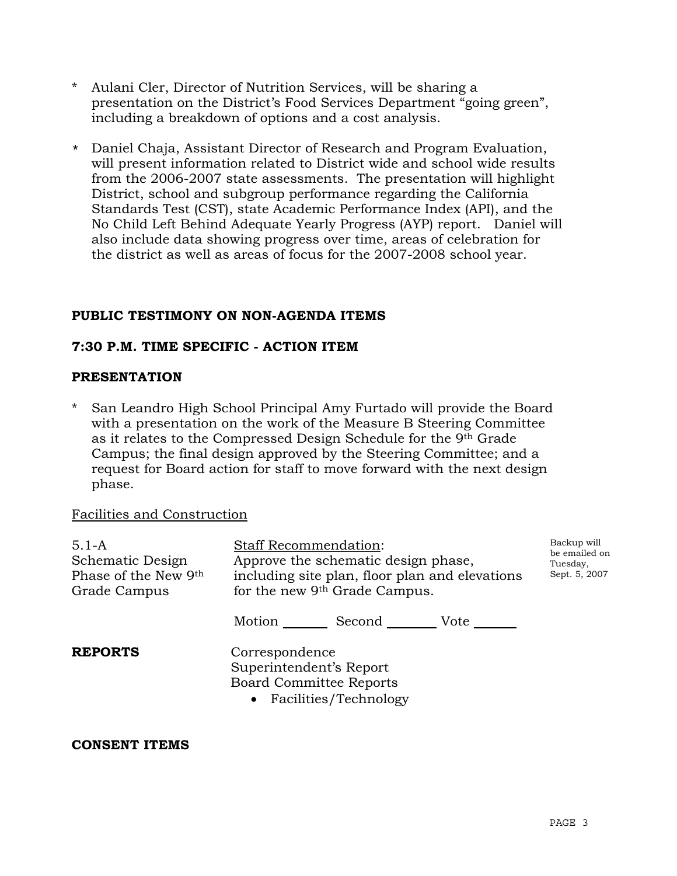- Aulani Cler, Director of Nutrition Services, will be sharing a presentation on the District's Food Services Department "going green", including a breakdown of options and a cost analysis.
- \* Daniel Chaja, Assistant Director of Research and Program Evaluation, will present information related to District wide and school wide results from the 2006-2007 state assessments. The presentation will highlight District, school and subgroup performance regarding the California Standards Test (CST), state Academic Performance Index (API), and the No Child Left Behind Adequate Yearly Progress (AYP) report. Daniel will also include data showing progress over time, areas of celebration for the district as well as areas of focus for the 2007-2008 school year.

# **PUBLIC TESTIMONY ON NON-AGENDA ITEMS**

## **7:30 P.M. TIME SPECIFIC - ACTION ITEM**

## **PRESENTATION**

San Leandro High School Principal Amy Furtado will provide the Board with a presentation on the work of the Measure B Steering Committee as it relates to the Compressed Design Schedule for the 9th Grade Campus; the final design approved by the Steering Committee; and a request for Board action for staff to move forward with the next design phase.

#### Facilities and Construction

| $5.1 - A$<br>Schematic Design<br>Phase of the New 9th<br>Grade Campus | <b>Staff Recommendation:</b><br>Approve the schematic design phase,<br>including site plan, floor plan and elevations<br>for the new 9th Grade Campus. | Backup will<br>be emailed on<br>Tuesday,<br>Sept. 5, 2007 |
|-----------------------------------------------------------------------|--------------------------------------------------------------------------------------------------------------------------------------------------------|-----------------------------------------------------------|
|                                                                       | Motion<br>Second Vote                                                                                                                                  |                                                           |
| <b>REPORTS</b>                                                        | Correspondence<br>Superintendent's Report<br><b>Board Committee Reports</b><br>• Facilities/Technology                                                 |                                                           |
| AAMARMA IMRIIA                                                        |                                                                                                                                                        |                                                           |

#### **CONSENT ITEMS**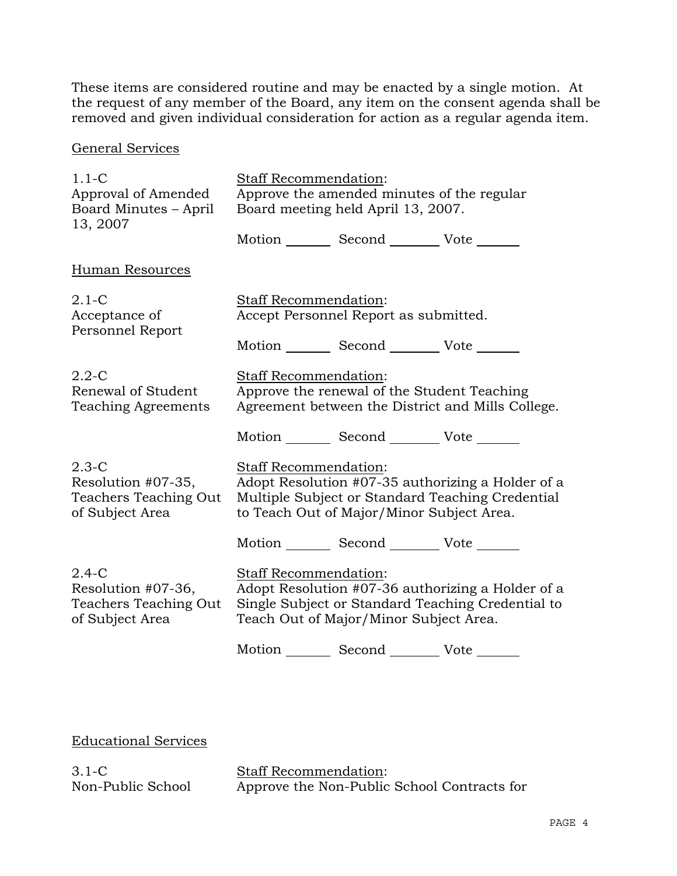These items are considered routine and may be enacted by a single motion. At the request of any member of the Board, any item on the consent agenda shall be removed and given individual consideration for action as a regular agenda item.

# General Services

| $1.1 - C$                                                                 | Staff Recommendation:                                                                                                            |                                                 |                                                                                                        |
|---------------------------------------------------------------------------|----------------------------------------------------------------------------------------------------------------------------------|-------------------------------------------------|--------------------------------------------------------------------------------------------------------|
| Approval of Amended<br>Board Minutes - April<br>13, 2007                  | Approve the amended minutes of the regular<br>Board meeting held April 13, 2007.                                                 |                                                 |                                                                                                        |
|                                                                           |                                                                                                                                  | Motion _________ Second __________ Vote _______ |                                                                                                        |
| Human Resources                                                           |                                                                                                                                  |                                                 |                                                                                                        |
| $2.1-C$<br>Acceptance of<br>Personnel Report                              | Staff Recommendation:<br>Accept Personnel Report as submitted.                                                                   |                                                 |                                                                                                        |
|                                                                           |                                                                                                                                  | Motion _________ Second __________ Vote _______ |                                                                                                        |
| $2.2 - C$<br>Renewal of Student<br><b>Teaching Agreements</b>             | <b>Staff Recommendation:</b><br>Approve the renewal of the Student Teaching<br>Agreement between the District and Mills College. |                                                 |                                                                                                        |
|                                                                           |                                                                                                                                  | Motion _________ Second __________ Vote _______ |                                                                                                        |
| $2.3-C$<br>Resolution #07-35,<br>Teachers Teaching Out<br>of Subject Area | Staff Recommendation:                                                                                                            | to Teach Out of Major/Minor Subject Area.       | Adopt Resolution #07-35 authorizing a Holder of a<br>Multiple Subject or Standard Teaching Credential  |
|                                                                           |                                                                                                                                  | Motion _________ Second __________ Vote _______ |                                                                                                        |
| $2.4-C$<br>Resolution #07-36,<br>Teachers Teaching Out<br>of Subject Area | Staff Recommendation:                                                                                                            | Teach Out of Major/Minor Subject Area.          | Adopt Resolution #07-36 authorizing a Holder of a<br>Single Subject or Standard Teaching Credential to |
|                                                                           |                                                                                                                                  | Motion _________ Second __________ Vote _______ |                                                                                                        |

Educational Services

3.1-C Non-Public School

Staff Recommendation: Approve the Non-Public School Contracts for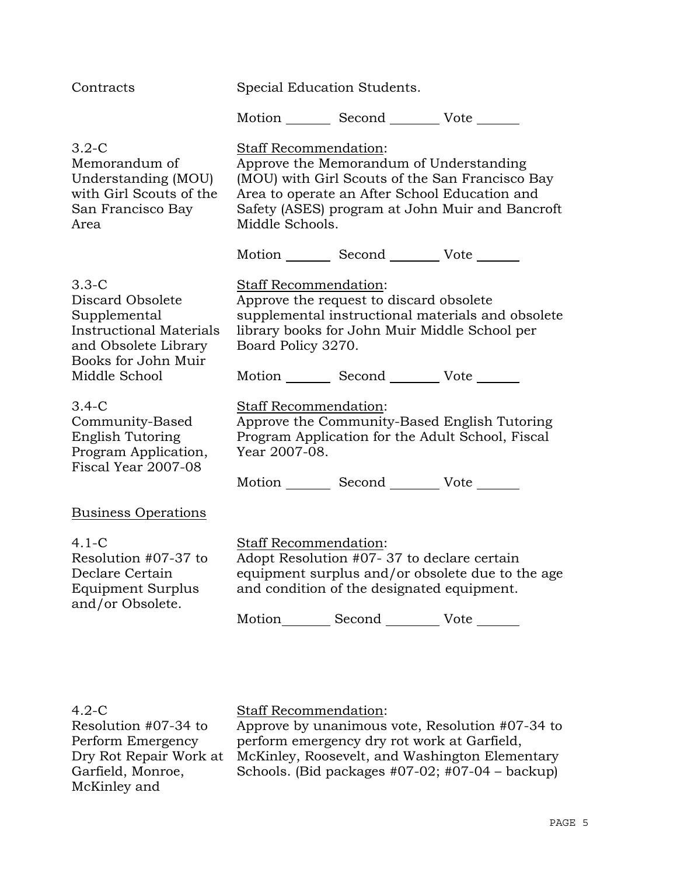| Contracts                                                                                                                    | Special Education Students.                                                                                                                                                                                                                |                                                                                                                                             |                                                                                                  |
|------------------------------------------------------------------------------------------------------------------------------|--------------------------------------------------------------------------------------------------------------------------------------------------------------------------------------------------------------------------------------------|---------------------------------------------------------------------------------------------------------------------------------------------|--------------------------------------------------------------------------------------------------|
|                                                                                                                              |                                                                                                                                                                                                                                            | Motion Second Vote                                                                                                                          |                                                                                                  |
| $3.2-C$<br>Memorandum of<br>Understanding (MOU)<br>with Girl Scouts of the<br>San Francisco Bay<br>Area                      | Staff Recommendation:<br>Approve the Memorandum of Understanding<br>(MOU) with Girl Scouts of the San Francisco Bay<br>Area to operate an After School Education and<br>Safety (ASES) program at John Muir and Bancroft<br>Middle Schools. |                                                                                                                                             |                                                                                                  |
|                                                                                                                              |                                                                                                                                                                                                                                            | Motion _________ Second __________ Vote _______                                                                                             |                                                                                                  |
| $3.3-C$<br>Discard Obsolete<br>Supplemental<br><b>Instructional Materials</b><br>and Obsolete Library<br>Books for John Muir | Staff Recommendation:<br>Approve the request to discard obsolete<br>supplemental instructional materials and obsolete<br>library books for John Muir Middle School per<br>Board Policy 3270.                                               |                                                                                                                                             |                                                                                                  |
| Middle School                                                                                                                |                                                                                                                                                                                                                                            | Motion _________ Second __________ Vote _______                                                                                             |                                                                                                  |
| $3.4-C$<br>Community-Based<br>English Tutoring<br>Program Application,<br>Fiscal Year 2007-08                                | Staff Recommendation:<br>Year 2007-08.                                                                                                                                                                                                     | Motion _________ Second __________ Vote _______                                                                                             | Approve the Community-Based English Tutoring<br>Program Application for the Adult School, Fiscal |
| <b>Business Operations</b>                                                                                                   |                                                                                                                                                                                                                                            |                                                                                                                                             |                                                                                                  |
| $4.1 - C$<br>Resolution #07-37 to<br>Declare Certain<br>Equipment Surplus<br>and/or Obsolete.                                | Staff Recommendation:                                                                                                                                                                                                                      | Adopt Resolution #07-37 to declare certain<br>and condition of the designated equipment.<br>Motion_________ Second ___________ Vote _______ | equipment surplus and/or obsolete due to the age                                                 |

| $4.2\text{-C}$         | <b>Staff Recommendation:</b>                         |
|------------------------|------------------------------------------------------|
| Resolution #07-34 to   | Approve by unanimous vote, Resolution #07-34 to      |
| Perform Emergency      | perform emergency dry rot work at Garfield,          |
| Dry Rot Repair Work at | McKinley, Roosevelt, and Washington Elementary       |
| Garfield, Monroe,      | Schools. (Bid packages $#07-02$ ; $#07-04$ – backup) |
| McKinley and           |                                                      |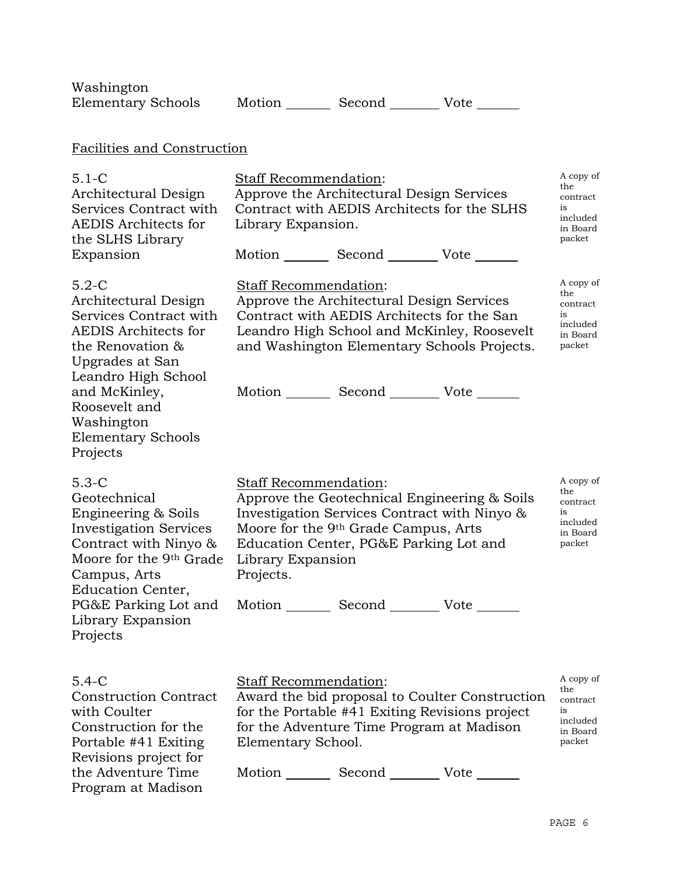| Washington<br><b>Elementary Schools</b>                                                                                                                                                                                                         |                                                                | Motion Second Vote                                                                                                                                               |                                                                                            |                                                                      |
|-------------------------------------------------------------------------------------------------------------------------------------------------------------------------------------------------------------------------------------------------|----------------------------------------------------------------|------------------------------------------------------------------------------------------------------------------------------------------------------------------|--------------------------------------------------------------------------------------------|----------------------------------------------------------------------|
|                                                                                                                                                                                                                                                 |                                                                |                                                                                                                                                                  |                                                                                            |                                                                      |
| Facilities and Construction                                                                                                                                                                                                                     |                                                                |                                                                                                                                                                  |                                                                                            |                                                                      |
| $5.1 - C$<br>Architectural Design<br>Services Contract with<br><b>AEDIS</b> Architects for<br>the SLHS Library<br>Expansion                                                                                                                     | Staff Recommendation:<br>Library Expansion.                    | Approve the Architectural Design Services<br>Contract with AEDIS Architects for the SLHS<br>Motion _________ Second __________ Vote _______                      |                                                                                            | A copy of<br>the<br>contract<br>is<br>included<br>in Board<br>packet |
| $5.2-C$<br>Architectural Design<br>Services Contract with<br><b>AEDIS</b> Architects for<br>the Renovation &<br>Upgrades at San<br>Leandro High School<br>and McKinley,<br>Roosevelt and<br>Washington<br><b>Elementary Schools</b><br>Projects | Staff Recommendation:                                          | Approve the Architectural Design Services<br>Contract with AEDIS Architects for the San<br>Motion _________ Second __________ Vote _______                       | Leandro High School and McKinley, Roosevelt<br>and Washington Elementary Schools Projects. | A copy of<br>the<br>contract<br>is<br>included<br>in Board<br>packet |
| $5.3-C$<br>Geotechnical<br>Engineering & Soils<br><b>Investigation Services</b><br>Contract with Ninyo $\&$<br>Moore for the 9th Grade<br>Campus, Arts<br>Education Center,<br>PG&E Parking Lot and<br>Library Expansion<br>Projects            | <b>Staff Recommendation:</b><br>Library Expansion<br>Projects. | Investigation Services Contract with Ninyo &<br>Moore for the 9 <sup>th</sup> Grade Campus, Arts<br>Education Center, PG&E Parking Lot and<br>Motion Second Vote | Approve the Geotechnical Engineering & Soils                                               | A copy of<br>the<br>contract<br>is<br>included<br>in Board<br>packet |
| $5.4 - C$<br><b>Construction Contract</b><br>with Coulter<br>Construction for the<br>Portable #41 Exiting<br>Revisions project for<br>the Adventure Time<br>Program at Madison                                                                  | Staff Recommendation:<br>Elementary School.                    | for the Portable #41 Exiting Revisions project<br>for the Adventure Time Program at Madison<br>Motion _________ Second __________ Vote _______                   | Award the bid proposal to Coulter Construction                                             | A copy of<br>the<br>contract<br>is<br>included<br>in Board<br>packet |